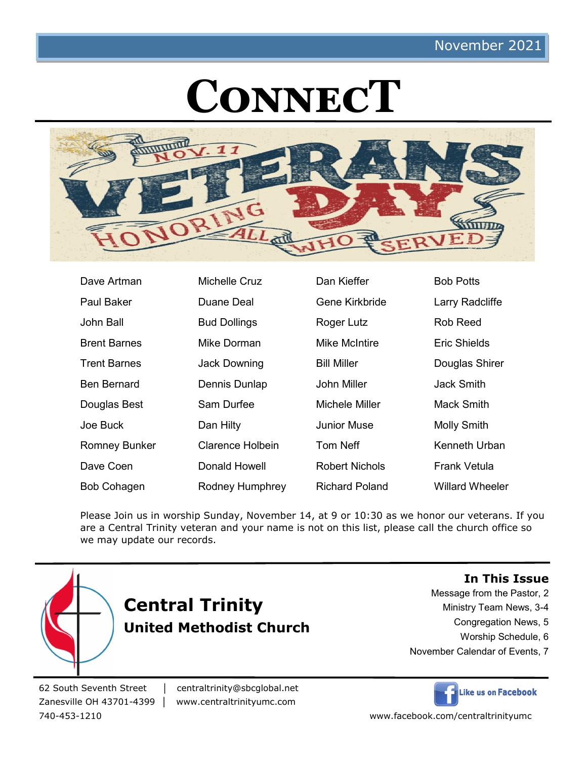# **ConnecT**



| Dave Artman          | Michelle Cruz       | Dan Kieffer           | <b>Bob Potts</b>       |
|----------------------|---------------------|-----------------------|------------------------|
| <b>Paul Baker</b>    | Duane Deal          | Gene Kirkbride        | Larry Radcliffe        |
| John Ball            | <b>Bud Dollings</b> | Roger Lutz            | Rob Reed               |
| <b>Brent Barnes</b>  | Mike Dorman         | Mike McIntire         | Eric Shields           |
| <b>Trent Barnes</b>  | <b>Jack Downing</b> | <b>Bill Miller</b>    | Douglas Shirer         |
| <b>Ben Bernard</b>   | Dennis Dunlap       | John Miller           | Jack Smith             |
| Douglas Best         | Sam Durfee          | Michele Miller        | Mack Smith             |
| Joe Buck             | Dan Hilty           | <b>Junior Muse</b>    | <b>Molly Smith</b>     |
| <b>Romney Bunker</b> | Clarence Holbein    | <b>Tom Neff</b>       | Kenneth Urban          |
| Dave Coen            | Donald Howell       | Robert Nichols        | Frank Vetula           |
| <b>Bob Cohagen</b>   | Rodney Humphrey     | <b>Richard Poland</b> | <b>Willard Wheeler</b> |

Please Join us in worship Sunday, November 14, at 9 or 10:30 as we honor our veterans. If you are a Central Trinity veteran and your name is not on this list, please call the church office so we may update our records.



#### **In This Issue**

Message from the Pastor, 2

- Ministry Team News, 3-4
	- Congregation News, 5
	- Worship Schedule, 6
- November Calendar of Events, 7

62 South Seventh Street │ centraltrinity@sbcglobal.net

Zanesville OH 43701-4399 │ www.centraltrinityumc.com



740-453-1210 www.facebook.com/centraltrinityumc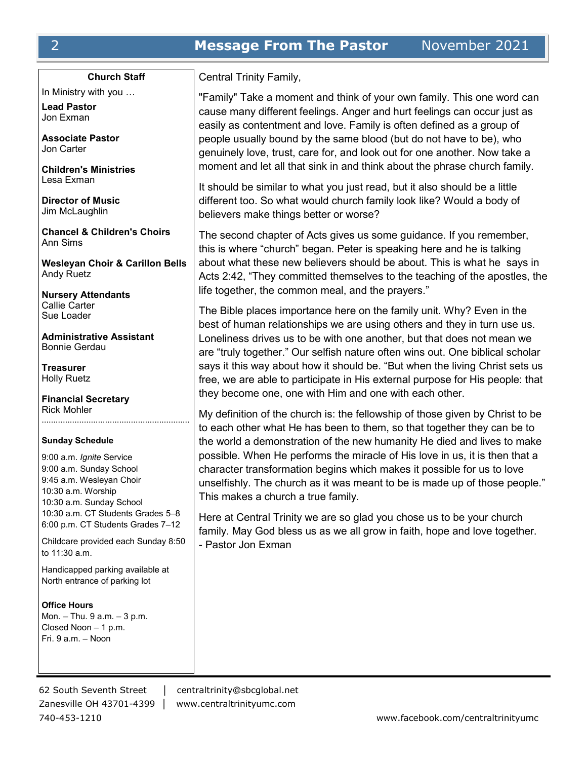#### **Church Staff**

In Ministry with you …

**Lead Pastor** Jon Exman

**Associate Pastor** Jon Carter

**Children's Ministries** Lesa Exman

**Director of Music** Jim McLaughlin

**Chancel & Children's Choirs** Ann Sims

**Wesleyan Choir & Carillon Bells** Andy Ruetz

**Nursery Attendants** Callie Carter Sue Loader

**Administrative Assistant** Bonnie Gerdau

**Treasurer** Holly Ruetz

**Financial Secretary** Rick Mohler ………………………………………………………

#### **Sunday Schedule**

9:00 a.m. *Ignite* Service 9:00 a.m. Sunday School 9:45 a.m. Wesleyan Choir 10:30 a.m. Worship 10:30 a.m. Sunday School 10:30 a.m. CT Students Grades 5–8 6:00 p.m. CT Students Grades 7–12

Childcare provided each Sunday 8:50 to 11:30 a.m.

Handicapped parking available at North entrance of parking lot

**Office Hours** Mon. – Thu. 9 a.m. – 3 p.m. Closed Noon – 1 p.m. Fri. 9 a.m. – Noon

62 South Seventh Street │ centraltrinity@sbcglobal.net Zanesville OH 43701-4399 │ www.centraltrinityumc.com

Central Trinity Family,

"Family" Take a moment and think of your own family. This one word can cause many different feelings. Anger and hurt feelings can occur just as easily as contentment and love. Family is often defined as a group of people usually bound by the same blood (but do not have to be), who genuinely love, trust, care for, and look out for one another. Now take a moment and let all that sink in and think about the phrase church family.

It should be similar to what you just read, but it also should be a little different too. So what would church family look like? Would a body of believers make things better or worse?

The second chapter of Acts gives us some guidance. If you remember, this is where "church" began. Peter is speaking here and he is talking about what these new believers should be about. This is what he says in Acts 2:42, "They committed themselves to the teaching of the apostles, the life together, the common meal, and the prayers."

The Bible places importance here on the family unit. Why? Even in the best of human relationships we are using others and they in turn use us. Loneliness drives us to be with one another, but that does not mean we are "truly together." Our selfish nature often wins out. One biblical scholar says it this way about how it should be. "But when the living Christ sets us free, we are able to participate in His external purpose for His people: that they become one, one with Him and one with each other.

My definition of the church is: the fellowship of those given by Christ to be to each other what He has been to them, so that together they can be to the world a demonstration of the new humanity He died and lives to make possible. When He performs the miracle of His love in us, it is then that a character transformation begins which makes it possible for us to love unselfishly. The church as it was meant to be is made up of those people." This makes a church a true family.

Here at Central Trinity we are so glad you chose us to be your church family. May God bless us as we all grow in faith, hope and love together. - Pastor Jon Exman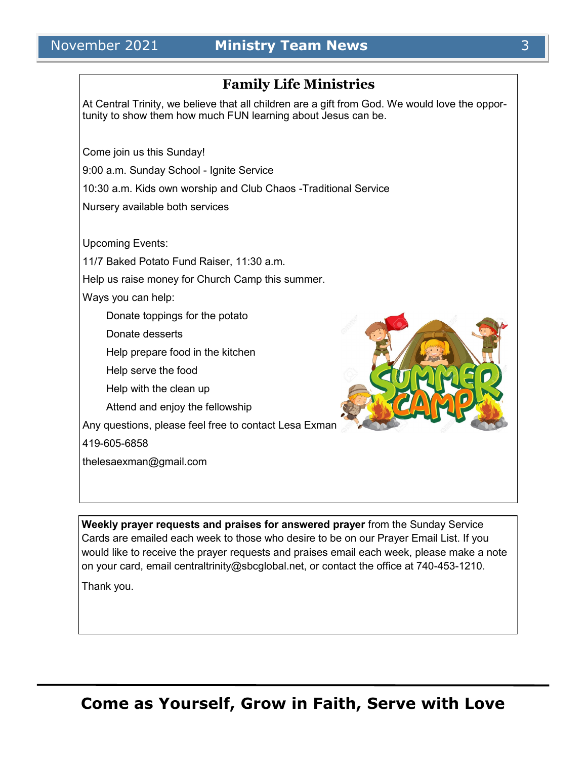## **Family Life Ministries**

At Central Trinity, we believe that all children are a gift from God. We would love the opportunity to show them how much FUN learning about Jesus can be.

Come join us this Sunday!

9:00 a.m. Sunday School - Ignite Service

10:30 a.m. Kids own worship and Club Chaos -Traditional Service

Nursery available both services

Upcoming Events:

11/7 Baked Potato Fund Raiser, 11:30 a.m.

Help us raise money for Church Camp this summer.

Ways you can help:

Donate toppings for the potato

Donate desserts

Help prepare food in the kitchen

Help serve the food

Help with the clean up

Attend and enjoy the fellowship

Any questions, please feel free to contact Lesa Exman

419-605-6858

thelesaexman@gmail.com



**Weekly prayer requests and praises for answered prayer** from the Sunday Service Cards are emailed each week to those who desire to be on our Prayer Email List. If you would like to receive the prayer requests and praises email each week, please make a note on your card, email centraltrinity@sbcglobal.net, or contact the office at 740-453-1210.

Thank you.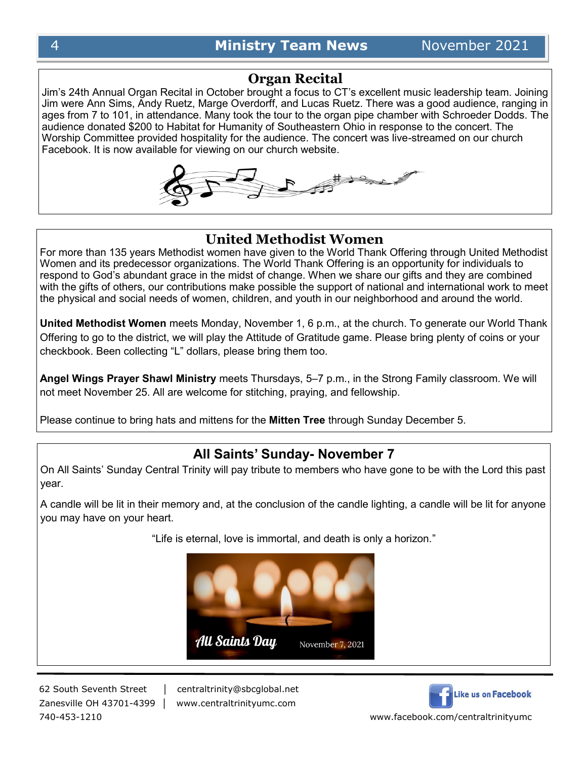## **Organ Recital**

Jim's 24th Annual Organ Recital in October brought a focus to CT's excellent music leadership team. Joining Jim were Ann Sims, Andy Ruetz, Marge Overdorff, and Lucas Ruetz. There was a good audience, ranging in ages from 7 to 101, in attendance. Many took the tour to the organ pipe chamber with Schroeder Dodds. The audience donated \$200 to Habitat for Humanity of Southeastern Ohio in response to the concert. The Worship Committee provided hospitality for the audience. The concert was live-streamed on our church Facebook. It is now available for viewing on our church website.



## **United Methodist Women**

For more than 135 years Methodist women have given to the World Thank Offering through United Methodist Women and its predecessor organizations. The World Thank Offering is an opportunity for individuals to respond to God's abundant grace in the midst of change. When we share our gifts and they are combined with the gifts of others, our contributions make possible the support of national and international work to meet the physical and social needs of women, children, and youth in our neighborhood and around the world.

**United Methodist Women** meets Monday, November 1, 6 p.m., at the church. To generate our World Thank Offering to go to the district, we will play the Attitude of Gratitude game. Please bring plenty of coins or your checkbook. Been collecting "L" dollars, please bring them too.

**Angel Wings Prayer Shawl Ministry** meets Thursdays, 5–7 p.m., in the Strong Family classroom. We will not meet November 25. All are welcome for stitching, praying, and fellowship.

Please continue to bring hats and mittens for the **Mitten Tree** through Sunday December 5.

## **All Saints' Sunday- November 7**

On All Saints' Sunday Central Trinity will pay tribute to members who have gone to be with the Lord this past year.

A candle will be lit in their memory and, at the conclusion of the candle lighting, a candle will be lit for anyone you may have on your heart.

"Life is eternal, love is immortal, and death is only a horizon."



62 South Seventh Street │ centraltrinity@sbcglobal.net

Zanesville OH 43701-4399 │ www.centraltrinityumc.com



740-453-1210 www.facebook.com/centraltrinityumc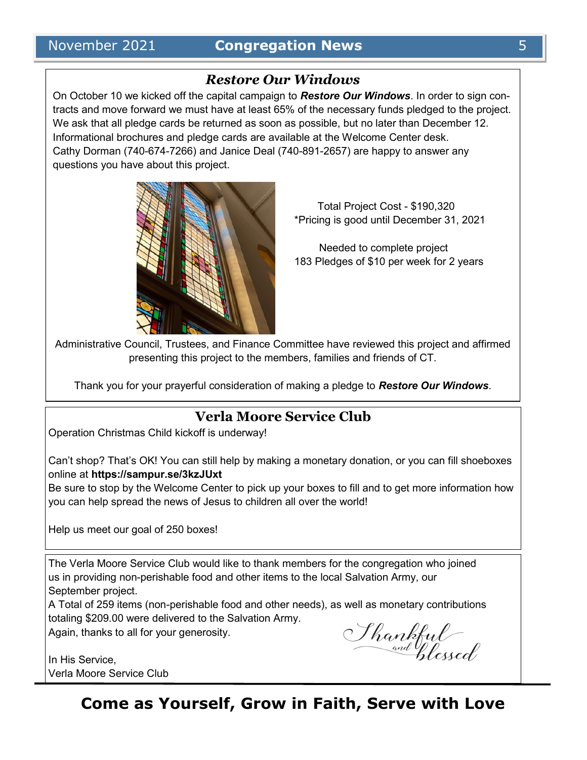## *Restore Our Windows*

On October 10 we kicked off the capital campaign to *Restore Our Windows*. In order to sign contracts and move forward we must have at least 65% of the necessary funds pledged to the project. We ask that all pledge cards be returned as soon as possible, but no later than December 12. Informational brochures and pledge cards are available at the Welcome Center desk. Cathy Dorman (740-674-7266) and Janice Deal (740-891-2657) are happy to answer any questions you have about this project.



 Total Project Cost - \$190,320 \*Pricing is good until December 31, 2021

 Needed to complete project 183 Pledges of \$10 per week for 2 years

Administrative Council, Trustees, and Finance Committee have reviewed this project and affirmed presenting this project to the members, families and friends of CT.

Thank you for your prayerful consideration of making a pledge to *Restore Our Windows*.

## **Verla Moore Service Club**

Operation Christmas Child kickoff is underway!

Can't shop? That's OK! You can still help by making a monetary donation, or you can fill shoeboxes online at **https://sampur.se/3kzJUxt**

Be sure to stop by the Welcome Center to pick up your boxes to fill and to get more information how you can help spread the news of Jesus to children all over the world!

Help us meet our goal of 250 boxes!

The Verla Moore Service Club would like to thank members for the congregation who joined us in providing non-perishable food and other items to the local Salvation Army, our September project.

A Total of 259 items (non-perishable food and other needs), as well as monetary contributions totaling \$209.00 were delivered to the Salvation Army.

Again, thanks to all for your generosity.

In His Service, Verla Moore Service Club

Shankful<br>and plessed

**Come as Yourself, Grow in Faith, Serve with Love**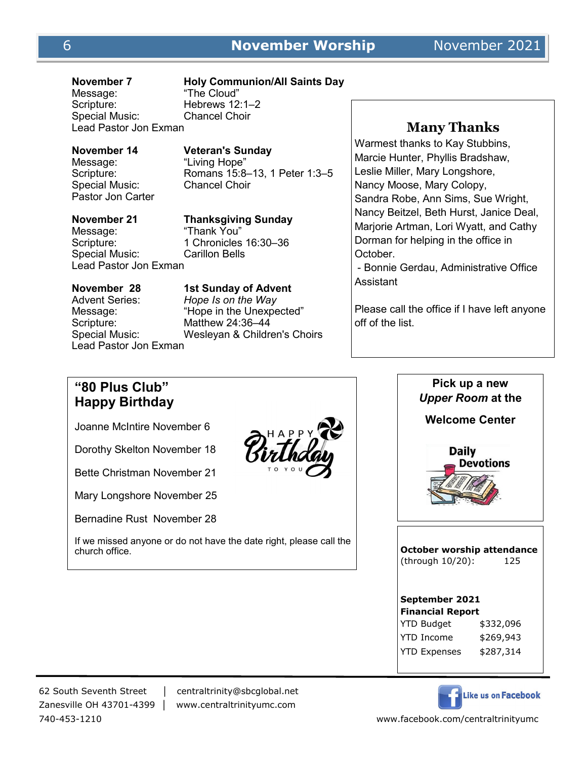Message: "The Cloud" Special Music: Lead Pastor Jon Exman

### **November 7 Holy Communion/All Saints Day**

Hebrews 12:1–2<br>Chancel Choir

## **November 14 Veteran's Sunday**

Message: "Living Hope"<br>Scripture: Romans 15:8-Romans 15:8–13, 1 Peter 1:3–5<br>Chancel Choir

Special Music: Pastor Jon Carter Message: "Thank You"

Lead Pastor Jon Exman

## **November 21 Thanksgiving Sunday** Scripture: 1 Chronicles 16:30-36 Special Music: Carillon Bells

Scripture: Matthew 24:36–44 Lead Pastor Jon Exman

**November 28 1st Sunday of Advent** Advent Series: *Hope Is on the Way*  Message: "Hope in the Unexpected" Special Music: Wesleyan & Children's Choirs

## **Many Thanks**

Warmest thanks to Kay Stubbins, Marcie Hunter, Phyllis Bradshaw, Leslie Miller, Mary Longshore, Nancy Moose, Mary Colopy, Sandra Robe, Ann Sims, Sue Wright, Nancy Beitzel, Beth Hurst, Janice Deal, Marjorie Artman, Lori Wyatt, and Cathy Dorman for helping in the office in October.

- Bonnie Gerdau, Administrative Office Assistant

Please call the office if I have left anyone off of the list.

## **"80 Plus Club" Happy Birthday**

Joanne McIntire November 6

Dorothy Skelton November 18

Bette Christman November 21

Mary Longshore November 25

Bernadine Rust November 28

If we missed anyone or do not have the date right, please call the church office.



**Pick up a new**  *Upper Room* **at the Welcome CenterDaily** Devotions **October worship attendance**  (through 10/20): 125 **September 2021 Financial Report** YTD Budget \$332,096 YTD Income \$269,943 YTD Expenses \$287,314



62 South Seventh Street │ centraltrinity@sbcglobal.net Zanesville OH 43701-4399 │ www.centraltrinityumc.com

740-453-1210 www.facebook.com/centraltrinityumc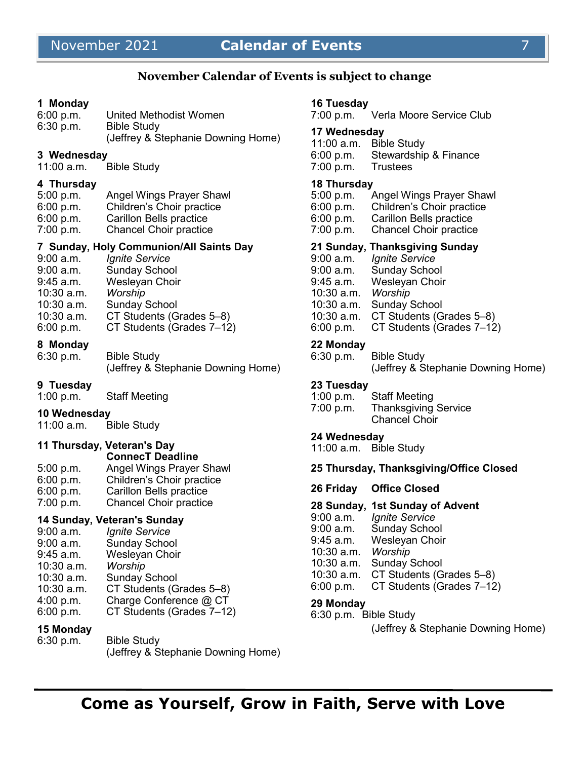## November 2021 **Calendar of Events** 7

## **November Calendar of Events is subject to change**

#### **1 Monday**

| 6:00 p.m. | United Methodist Women             |
|-----------|------------------------------------|
| 6:30 p.m. | <b>Bible Study</b>                 |
|           | (Jeffrey & Stephanie Downing Home) |

#### **3 Wednesday**

11:00 a.m. Bible Study

#### **4 Thursday**

| 5:00 p.m. | Angel Wings Prayer Shawl       |
|-----------|--------------------------------|
| 6:00 p.m. | Children's Choir practice      |
| 6:00 p.m. | <b>Carillon Bells practice</b> |
| 7:00 p.m. | <b>Chancel Choir practice</b>  |
|           |                                |

#### **7 Sunday, Holy Communion/All Saints Day**

9:00 a.m. *Ignite Service* Sunday School 9:45 a.m. Wesleyan Choir<br>10:30 a.m. Worship 10:30 a.m. *Worship*  10:30 a.m. Sunday School 10:30 a.m. CT Students (Grades 5–8) 6:00 p.m. CT Students (Grades 7–12)

#### **8 Monday**

6:30 p.m. Bible Study (Jeffrey & Stephanie Downing Home)

#### **9 Tuesday**

1:00 p.m. Staff Meeting

#### **10 Wednesday**

11:00 a.m. Bible Study

#### **11 Thursday, Veteran's Day**

|           | <b>ConnecT Deadline</b>       |
|-----------|-------------------------------|
| 5:00 p.m. | Angel Wings Prayer Shawl      |
| 6:00 p.m. | Children's Choir practice     |
| 6:00 p.m. | Carillon Bells practice       |
| 7:00 p.m. | <b>Chancel Choir practice</b> |

#### **14 Sunday, Veteran's Sunday**

| 9:00 a.m.    | <b>Ignite Service</b>     |
|--------------|---------------------------|
| 9:00 a.m.    | <b>Sunday School</b>      |
| 9:45 a.m.    | Wesleyan Choir            |
| $10:30$ a.m. | Worship                   |
| $10:30$ a.m. | <b>Sunday School</b>      |
| $10:30$ a.m. | CT Students (Grades 5-8)  |
| 4:00 p.m.    | Charge Conference @ CT    |
| 6:00 p.m.    | CT Students (Grades 7-12) |
|              |                           |

#### **15 Monday**

| 6:30 p.m. | <b>Bible Study</b>                 |
|-----------|------------------------------------|
|           | (Jeffrey & Stephanie Downing Home) |

#### **16 Tuesday**

7:00 p.m. Verla Moore Service Club

#### **17 Wednesday**

11:00 a.m. Bible Study 6:00 p.m. Stewardship & Finance 7:00 p.m. Trustees

#### **18 Thursday**

| 5:00 p.m. | <b>Angel Wings Prayer Shawl</b> |
|-----------|---------------------------------|
| 6:00 p.m. | Children's Choir practice       |
| 6:00 p.m. | <b>Carillon Bells practice</b>  |
| 7:00 p.m. | <b>Chancel Choir practice</b>   |

#### **21 Sunday, Thanksgiving Sunday**

| $9:00$ a.m.  | Ignite Service            |
|--------------|---------------------------|
| $9:00$ a.m.  | <b>Sunday School</b>      |
| $9:45$ a.m.  | Wesleyan Choir            |
| $10:30$ a.m. | Worship                   |
| $10:30$ a.m. | <b>Sunday School</b>      |
| $10:30$ a.m. | CT Students (Grades 5-8)  |
| 6:00 p.m.    | CT Students (Grades 7-12) |
|              |                           |

#### **22 Monday**

| 6:30 p.m. | <b>Bible Study</b>                 |
|-----------|------------------------------------|
|           | (Jeffrey & Stephanie Downing Home) |

#### **23 Tuesday**

| 1:00 $p.m.$ | <b>Staff Meeting</b>        |
|-------------|-----------------------------|
| 7:00 p.m.   | <b>Thanksgiving Service</b> |
|             | <b>Chancel Choir</b>        |

#### **24 Wednesday**

11:00 a.m. Bible Study

#### **25 Thursday, Thanksgiving/Office Closed**

**26 Friday Office Closed**

#### **28 Sunday, 1st Sunday of Advent**

- 9:00 a.m. *Ignite Service* 9:00 a.m. Sunday School
- 9:45 a.m. Wesleyan Choir
- 10:30 a.m. *Worship*
- 10:30 a.m. Sunday School
- 10:30 a.m. CT Students (Grades 5–8)
- 6:00 p.m. CT Students (Grades 7–12)

#### **29 Monday**

6:30 p.m. Bible Study

(Jeffrey & Stephanie Downing Home)